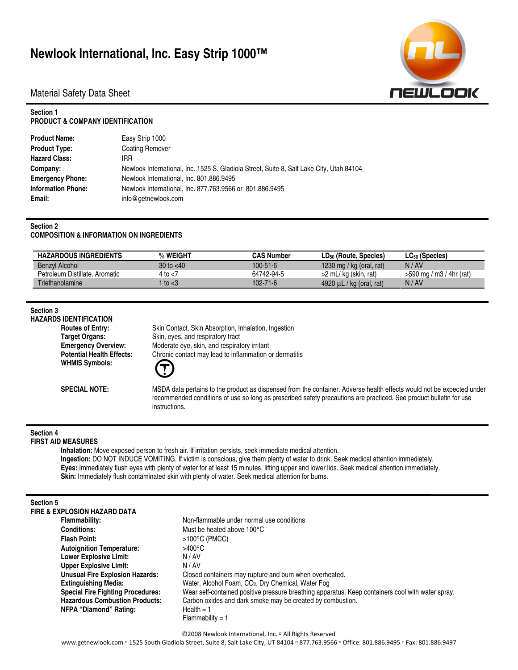# **Newlook International, Inc. Easy Strip 1000™**



Material Safety Data Sheet

### **Section 1 PRODUCT & COMPANY IDENTIFICATION**

| <b>Product Name:</b>      | Easy Strip 1000                                                                          |
|---------------------------|------------------------------------------------------------------------------------------|
| <b>Product Type:</b>      | <b>Coating Remover</b>                                                                   |
| <b>Hazard Class:</b>      | IRR                                                                                      |
| Company:                  | Newlook International, Inc. 1525 S. Gladiola Street, Suite 8, Salt Lake City, Utah 84104 |
| <b>Emergency Phone:</b>   | Newlook International, Inc. 801.886.9495                                                 |
| <b>Information Phone:</b> | Newlook International, Inc. 877.763.9566 or 801.886.9495                                 |
| Email:                    | info@getnewlook.com                                                                      |

### **Section 2**

### **COMPOSITION & INFORMATION ON INGREDIENTS**

| <b>HAZARDOUS INGREDIENTS</b>   | % WEIGHT     | <b>CAS Number</b> | LD <sub>50</sub> (Route, Species) | $LC_{50}$ (Species)        |
|--------------------------------|--------------|-------------------|-----------------------------------|----------------------------|
| Benzyl Alcohol                 | 30 to $< 40$ | $100 - 51 - 6$    | 1230 mg / kg (oral, rat)          | N/AV                       |
| Petroleum Distillate, Aromatic | 4 to <7      | 64742-94-5        | >2 mL/kg (skin, rat)              | $>590$ mg / m3 / 4hr (rat) |
| Triethanolamine                | to $<$ 3     | $102 - 71 - 6$    | 4920 $\mu$ L / kg (oral, rat)     | N/AV                       |

### **Section 3**

**HAZARDS IDENTIFICATION Routes of Entry:** Skin Contact, Skin Absorption, Inhalation, Ingestion **Target Organs:** Skin, eyes, and respiratory tract **Emergency Overview:** Moderate eye, skin, and respiratory irritant **Potential Health Effects:** Chronic contact may lead to inflammation or dermatitis **WHMIS Symbols:** 

> **SPECIAL NOTE:** MSDA data pertains to the product as dispensed from the container. Adverse health effects would not be expected under recommended conditions of use so long as prescribed safety precautions are practiced. See product bulletin for use instructions.

# **Section 4**

# **FIRST AID MEASURES**

**Inhalation:** Move exposed person to fresh air. If irritation persists, seek immediate medical attention. **Ingestion:** DO NOT INDUCE VOMITING. If victim is conscious, give them plenty of water to drink. Seek medical attention immediately. **Eyes:** Immediately flush eyes with plenty of water for at least 15 minutes, lifting upper and lower lids. Seek medical attention immediately. **Skin:** Immediately flush contaminated skin with plenty of water. Seek medical attention for burns.

#### **Section 5**

| FIRE & EXPLOSION HAZARD DATA             |                                                                                                   |
|------------------------------------------|---------------------------------------------------------------------------------------------------|
| Flammability:                            | Non-flammable under normal use conditions                                                         |
| <b>Conditions:</b>                       | Must be heated above 100°C                                                                        |
| <b>Flash Point:</b>                      | $>100^{\circ}$ C (PMCC)                                                                           |
| <b>Autoignition Temperature:</b>         | $>400^{\circ}$ C                                                                                  |
| <b>Lower Explosive Limit:</b>            | N/AV                                                                                              |
| <b>Upper Explosive Limit:</b>            | N / AV                                                                                            |
| <b>Unusual Fire Explosion Hazards:</b>   | Closed containers may rupture and burn when overheated.                                           |
| <b>Extinguishing Media:</b>              | Water, Alcohol Foam, CO <sub>2</sub> , Dry Chemical, Water Fog                                    |
| <b>Special Fire Fighting Procedures:</b> | Wear self-contained positive pressure breathing apparatus. Keep containers cool with water spray. |
| <b>Hazardous Combustion Products:</b>    | Carbon oxides and dark smoke may be created by combustion.                                        |
| NFPA "Diamond" Rating:                   | Health $= 1$                                                                                      |
|                                          | $Flammability = 1$                                                                                |
|                                          |                                                                                                   |

©2008 Newlook International, Inc. <sup>□</sup> All Rights Reserved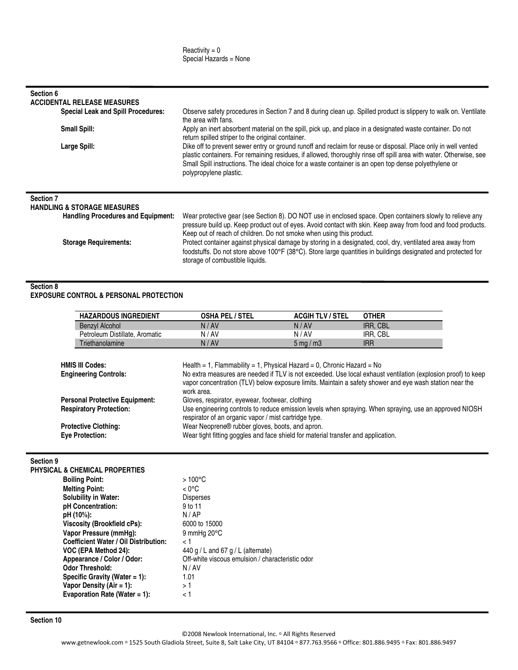| Section 6<br><b>ACCIDENTAL RELEASE MEASURES</b>                                                         |                                                                                                                                                                                                                                                                                                                                                                        |  |  |
|---------------------------------------------------------------------------------------------------------|------------------------------------------------------------------------------------------------------------------------------------------------------------------------------------------------------------------------------------------------------------------------------------------------------------------------------------------------------------------------|--|--|
| <b>Special Leak and Spill Procedures:</b>                                                               | Observe safety procedures in Section 7 and 8 during clean up. Spilled product is slippery to walk on. Ventilate<br>the area with fans.                                                                                                                                                                                                                                 |  |  |
| <b>Small Spill:</b>                                                                                     | Apply an inert absorbent material on the spill, pick up, and place in a designated waste container. Do not<br>return spilled striper to the original container.                                                                                                                                                                                                        |  |  |
| Large Spill:                                                                                            | Dike off to prevent sewer entry or ground runoff and reclaim for reuse or disposal. Place only in well vented<br>plastic containers. For remaining residues, if allowed, thoroughly rinse off spill area with water. Otherwise, see<br>Small Spill instructions. The ideal choice for a waste container is an open top dense polyethylene or<br>polypropylene plastic. |  |  |
| <b>Section 7</b><br><b>HANDLING &amp; STORAGE MEASURES</b><br><b>Handling Procedures and Equipment:</b> | Wear protective gear (see Section 8). DO NOT use in enclosed space. Open containers slowly to relieve any<br>pressure build up. Keep product out of eves. Avoid contact with skin. Keep away from food and food products                                                                                                                                               |  |  |

pressure build up. Keep product out of eyes. Avoid contact with skin. Keep away from food and food products. Keep out of reach of children. Do not smoke when using this product. **Storage Requirements:** Protect container against physical damage by storing in a designated, cool, dry, ventilated area away from foodstuffs. Do not store above 100°F (38°C). Store large quantities in buildings designated and protected for

### **Section 8**

**EXPOSURE CONTROL & PERSONAL PROTECTION** 

| <b>HAZARDOUS INGREDIENT</b>    | <b>OSHA PEL / STEL</b> | <b>ACGIH TLV / STEL</b>     | <b>OTHER</b>    |
|--------------------------------|------------------------|-----------------------------|-----------------|
| Benzyl Alcohol                 | N/AV                   | N/AV                        | <b>IRR. CBL</b> |
| Petroleum Distillate, Aromatic | N/AV                   | N/AV                        | IRR. CBL        |
| Triethanolamine                | N/AV                   | $5 \text{ mg} / \text{m}$ 3 | irr             |

storage of combustible liquids.

| <b>HMIS III Codes:</b>                | Health = 1, Flammability = 1, Physical Hazard = 0, Chronic Hazard = $No$                                     |
|---------------------------------------|--------------------------------------------------------------------------------------------------------------|
| <b>Engineering Controls:</b>          | No extra measures are needed if TLV is not exceeded. Use local exhaust ventilation (explosion proof) to keep |
|                                       | vapor concentration (TLV) below exposure limits. Maintain a safety shower and eye wash station near the      |
|                                       | work area.                                                                                                   |
| <b>Personal Protective Equipment:</b> | Gloves, respirator, eyewear, footwear, clothing                                                              |
| <b>Respiratory Protection:</b>        | Use engineering controls to reduce emission levels when spraying. When spraying, use an approved NIOSH       |
|                                       | respirator of an organic vapor / mist cartridge type.                                                        |
| <b>Protective Clothing:</b>           | Wear Neoprene® rubber gloves, boots, and apron.                                                              |
| <b>Eve Protection:</b>                | Wear tight fitting goggles and face shield for material transfer and application.                            |

## **Section 9**

| <b>PHYSICAL &amp; CHEMICAL PROPERTIES</b>    |                                                  |
|----------------------------------------------|--------------------------------------------------|
| <b>Boiling Point:</b>                        | $>100^{\circ}$ C                                 |
| <b>Melting Point:</b>                        | $< 0^{\circ}$ C                                  |
| <b>Solubility in Water:</b>                  | <b>Disperses</b>                                 |
| pH Concentration:                            | 9 to 11                                          |
| pH (10%):                                    | N/AP                                             |
| Viscosity (Brookfield cPs):                  | 6000 to 15000                                    |
| Vapor Pressure (mmHq):                       | 9 mmHg $20^{\circ}$ C                            |
| <b>Coefficient Water / Oil Distribution:</b> | ا >                                              |
| VOC (EPA Method 24):                         | 440 g / L and 67 g / L (alternate)               |
| Appearance / Color / Odor:                   | Off-white viscous emulsion / characteristic odor |
| <b>Odor Threshold:</b>                       | N/AV                                             |
| Specific Gravity (Water $= 1$ ):             | 1.01                                             |
| Vapor Density (Air = 1):                     | > 1                                              |
| Evaporation Rate (Water = 1):                | < 1                                              |

**Section 10** 

©2008 Newlook International, Inc. <sup>□</sup> All Rights Reserved

www.getnewlook.com = 1525 South Gladiola Street, Suite 8, Salt Lake City, UT 84104 = 877.763.9566 = Office: 801.886.9495 = Fax: 801.886.9497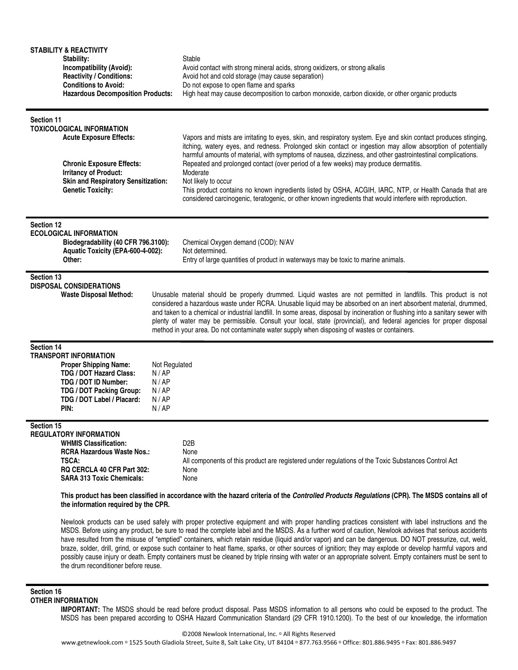| <b>STABILITY &amp; REACTIVITY</b><br>Stability:<br>Incompatibility (Avoid):<br><b>Reactivity / Conditions:</b><br><b>Conditions to Avoid:</b><br><b>Hazardous Decomposition Products:</b>                                                                                                                                                                                                                                                                                                                                                                                                                                                                                                                                                                                                                                                                                                                                                                                                                                        |                                                         | Stable<br>Avoid contact with strong mineral acids, strong oxidizers, or strong alkalis<br>Avoid hot and cold storage (may cause separation)<br>Do not expose to open flame and sparks<br>High heat may cause decomposition to carbon monoxide, carbon dioxide, or other organic products                                                                                                                                                                                                                                                                                                                                                                                                   |
|----------------------------------------------------------------------------------------------------------------------------------------------------------------------------------------------------------------------------------------------------------------------------------------------------------------------------------------------------------------------------------------------------------------------------------------------------------------------------------------------------------------------------------------------------------------------------------------------------------------------------------------------------------------------------------------------------------------------------------------------------------------------------------------------------------------------------------------------------------------------------------------------------------------------------------------------------------------------------------------------------------------------------------|---------------------------------------------------------|--------------------------------------------------------------------------------------------------------------------------------------------------------------------------------------------------------------------------------------------------------------------------------------------------------------------------------------------------------------------------------------------------------------------------------------------------------------------------------------------------------------------------------------------------------------------------------------------------------------------------------------------------------------------------------------------|
| Section 11<br><b>TOXICOLOGICAL INFORMATION</b><br><b>Acute Exposure Effects:</b><br><b>Chronic Exposure Effects:</b><br><b>Irritancy of Product:</b><br><b>Skin and Respiratory Sensitization:</b><br><b>Genetic Toxicity:</b>                                                                                                                                                                                                                                                                                                                                                                                                                                                                                                                                                                                                                                                                                                                                                                                                   |                                                         | Vapors and mists are irritating to eyes, skin, and respiratory system. Eye and skin contact produces stinging,<br>itching, watery eyes, and redness. Prolonged skin contact or ingestion may allow absorption of potentially<br>harmful amounts of material, with symptoms of nausea, dizziness, and other gastrointestinal complications.<br>Repeated and prolonged contact (over period of a few weeks) may produce dermatitis.<br>Moderate<br>Not likely to occur<br>This product contains no known ingredients listed by OSHA, ACGIH, IARC, NTP, or Health Canada that are<br>considered carcinogenic, teratogenic, or other known ingredients that would interfere with reproduction. |
| Section 12<br><b>ECOLOGICAL INFORMATION</b><br>Biodegradability (40 CFR 796.3100):<br>Aquatic Toxicity (EPA-600-4-002):<br>Other:                                                                                                                                                                                                                                                                                                                                                                                                                                                                                                                                                                                                                                                                                                                                                                                                                                                                                                |                                                         | Chemical Oxygen demand (COD): N/AV<br>Not determined.<br>Entry of large quantities of product in waterways may be toxic to marine animals.                                                                                                                                                                                                                                                                                                                                                                                                                                                                                                                                                 |
| Section 13<br><b>DISPOSAL CONSIDERATIONS</b><br><b>Waste Disposal Method:</b>                                                                                                                                                                                                                                                                                                                                                                                                                                                                                                                                                                                                                                                                                                                                                                                                                                                                                                                                                    |                                                         | Unusable material should be properly drummed. Liquid wastes are not permitted in landfills. This product is not<br>considered a hazardous waste under RCRA. Unusable liquid may be absorbed on an inert absorbent material, drummed,<br>and taken to a chemical or industrial landfill. In some areas, disposal by incineration or flushing into a sanitary sewer with<br>plenty of water may be permissible. Consult your local, state (provincial), and federal agencies for proper disposal<br>method in your area. Do not contaminate water supply when disposing of wastes or containers.                                                                                             |
| Section 14<br><b>TRANSPORT INFORMATION</b><br><b>Proper Shipping Name:</b><br><b>TDG / DOT Hazard Class:</b><br>TDG / DOT ID Number:<br>TDG / DOT Packing Group:<br>TDG / DOT Label / Placard:<br>PIN:                                                                                                                                                                                                                                                                                                                                                                                                                                                                                                                                                                                                                                                                                                                                                                                                                           | Not Regulated<br>N / AP<br>N/AP<br>N/AP<br>N/AP<br>N/AP |                                                                                                                                                                                                                                                                                                                                                                                                                                                                                                                                                                                                                                                                                            |
| Section 15<br><b>REGULATORY INFORMATION</b><br><b>WHMIS Classification:</b><br><b>RCRA Hazardous Waste Nos.:</b><br>TSCA:<br>RQ CERCLA 40 CFR Part 302:<br><b>SARA 313 Toxic Chemicals:</b>                                                                                                                                                                                                                                                                                                                                                                                                                                                                                                                                                                                                                                                                                                                                                                                                                                      |                                                         | D <sub>2</sub> B<br>None<br>All components of this product are registered under regulations of the Toxic Substances Control Act<br>None<br>None                                                                                                                                                                                                                                                                                                                                                                                                                                                                                                                                            |
| This product has been classified in accordance with the hazard criteria of the Controlled Products Regulations (CPR). The MSDS contains all of<br>the information required by the CPR.<br>Newlook products can be used safely with proper protective equipment and with proper handling practices consistent with label instructions and the<br>MSDS. Before using any product, be sure to read the complete label and the MSDS. As a further word of caution, Newlook advises that serious accidents<br>have resulted from the misuse of "emptied" containers, which retain residue (liquid and/or vapor) and can be dangerous. DO NOT pressurize, cut, weld,<br>braze, solder, drill, grind, or expose such container to heat flame, sparks, or other sources of ignition; they may explode or develop harmful vapors and<br>possibly cause injury or death. Empty containers must be cleaned by triple rinsing with water or an appropriate solvent. Empty containers must be sent to<br>the drum reconditioner before reuse. |                                                         |                                                                                                                                                                                                                                                                                                                                                                                                                                                                                                                                                                                                                                                                                            |
| Section 16<br><b>OTHER INFORMATION</b>                                                                                                                                                                                                                                                                                                                                                                                                                                                                                                                                                                                                                                                                                                                                                                                                                                                                                                                                                                                           |                                                         | IMPORTANT: The MSDS should be read before product disposal. Pass MSDS information to all persons who could be exposed to the product. The<br>MSDS has been prepared according to OSHA Hazard Communication Standard (29 CFR 1910.1200). To the best of our knowledge, the information                                                                                                                                                                                                                                                                                                                                                                                                      |